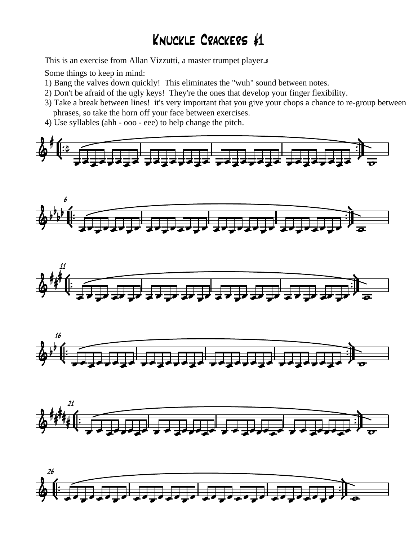## Knuckle Crackers #1

This is an exercise from Allan Vizzutti, a master trumpet player.s

Some things to keep in mind:

- 1) Bang the valves down quickly! This eliminates the "wuh" sound between notes.
- 2) Don't be afraid of the ugly keys! They're the ones that develop your finger flexibility.
- 3) Take a break between lines! it's very important that you give your chops a chance to re-group between phrases, so take the horn off your face between exercises.
- 4) Use syllables (ahh ooo eee) to help change the pitch*.*